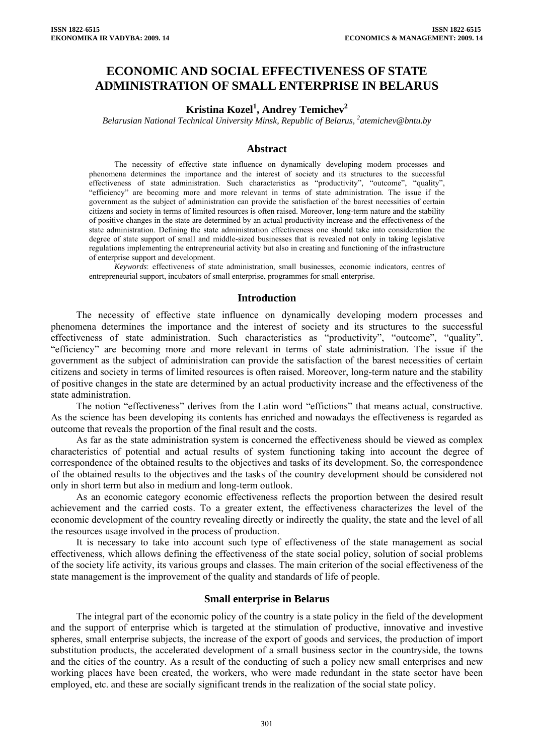# **ECONOMIC AND SOCIAL EFFECTIVENESS OF STATE ADMINISTRATION OF SMALL ENTERPRISE IN BELARUS**

## **Kristina Kozel<sup>1</sup> , Andrey Temichev2**

Belarusian National Technical University Minsk, Republic of Belarus, <sup>2</sup>atemichev@bntu.by

### **Abstract**

The necessity of effective state influence on dynamically developing modern processes and phenomena determines the importance and the interest of society and its structures to the successful effectiveness of state administration. Such characteristics as "productivity", "outcome", "quality", "efficiency" are becoming more and more relevant in terms of state administration. The issue if the government as the subject of administration can provide the satisfaction of the barest necessities of certain citizens and society in terms of limited resources is often raised. Moreover, long-term nature and the stability of positive changes in the state are determined by an actual productivity increase and the effectiveness of the state administration. Defining the state administration effectiveness one should take into consideration the degree of state support of small and middle-sized businesses that is revealed not only in taking legislative regulations implementing the entrepreneurial activity but also in creating and functioning of the infrastructure of enterprise support and development.

*Keywords*: effectiveness of state administration, small businesses, economic indicators, centres of entrepreneurial support, incubators of small enterprise, programmes for small enterprise.

#### **Introduction**

The necessity of effective state influence on dynamically developing modern processes and phenomena determines the importance and the interest of society and its structures to the successful effectiveness of state administration. Such characteristics as "productivity", "outcome", "quality", "efficiency" are becoming more and more relevant in terms of state administration. The issue if the government as the subject of administration can provide the satisfaction of the barest necessities of certain citizens and society in terms of limited resources is often raised. Moreover, long-term nature and the stability of positive changes in the state are determined by an actual productivity increase and the effectiveness of the state administration.

The notion "effectiveness" derives from the Latin word "effictions" that means actual, constructive. As the science has been developing its contents has enriched and nowadays the effectiveness is regarded as outcome that reveals the proportion of the final result and the costs.

As far as the state administration system is concerned the effectiveness should be viewed as complex characteristics of potential and actual results of system functioning taking into account the degree of correspondence of the obtained results to the objectives and tasks of its development. So, the correspondence of the obtained results to the objectives and the tasks of the country development should be considered not only in short term but also in medium and long-term outlook.

As an economic category economic effectiveness reflects the proportion between the desired result achievement and the carried costs. To a greater extent, the effectiveness characterizes the level of the economic development of the country revealing directly or indirectly the quality, the state and the level of all the resources usage involved in the process of production.

It is necessary to take into account such type of effectiveness of the state management as social effectiveness, which allows defining the effectiveness of the state social policy, solution of social problems of the society life activity, its various groups and classes. The main criterion of the social effectiveness of the state management is the improvement of the quality and standards of life of people.

#### **Small enterprise in Belarus**

The integral part of the economic policy of the country is a state policy in the field of the development and the support of enterprise which is targeted at the stimulation of productive, innovative and investive spheres, small enterprise subjects, the increase of the export of goods and services, the production of import substitution products, the accelerated development of a small business sector in the countryside, the towns and the cities of the country. As a result of the conducting of such a policy new small enterprises and new working places have been created, the workers, who were made redundant in the state sector have been employed, etc. and these are socially significant trends in the realization of the social state policy.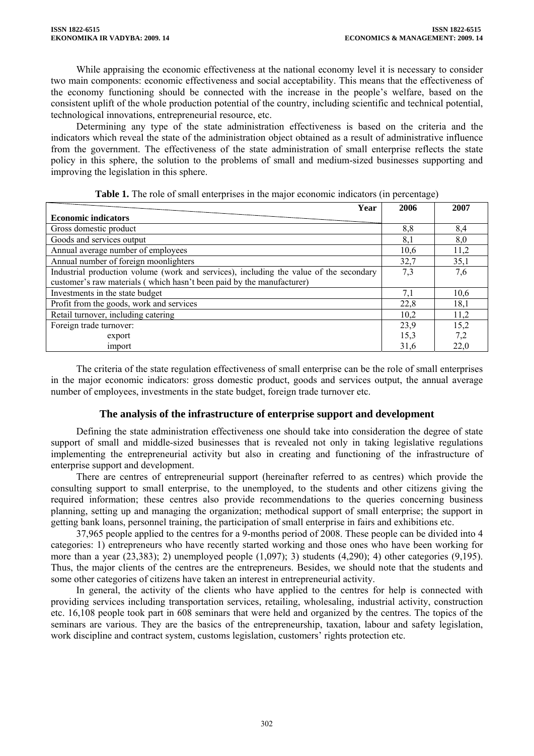While appraising the economic effectiveness at the national economy level it is necessary to consider two main components: economic effectiveness and social acceptability. This means that the effectiveness of the economy functioning should be connected with the increase in the people's welfare, based on the consistent uplift of the whole production potential of the country, including scientific and technical potential, technological innovations, entrepreneurial resource, etc.

Determining any type of the state administration effectiveness is based on the criteria and the indicators which reveal the state of the administration object obtained as a result of administrative influence from the government. The effectiveness of the state administration of small enterprise reflects the state policy in this sphere, the solution to the problems of small and medium-sized businesses supporting and improving the legislation in this sphere.

| Year                                                                                   | 2006 | 2007 |
|----------------------------------------------------------------------------------------|------|------|
| <b>Economic indicators</b>                                                             |      |      |
| Gross domestic product                                                                 | 8,8  | 8,4  |
| Goods and services output                                                              | 8,1  | 8,0  |
| Annual average number of employees                                                     | 10,6 | 11,2 |
| Annual number of foreign moonlighters                                                  | 32,7 | 35,1 |
| Industrial production volume (work and services), including the value of the secondary | 7,3  | 7,6  |
| customer's raw materials (which hasn't been paid by the manufacturer)                  |      |      |
| Investments in the state budget                                                        | 7,1  | 10,6 |
| Profit from the goods, work and services                                               | 22,8 | 18,1 |
| Retail turnover, including catering                                                    | 10,2 | 11,2 |
| Foreign trade turnover:                                                                | 23,9 | 15,2 |
| export                                                                                 | 15,3 | 7,2  |
| import                                                                                 | 31,6 | 22,0 |

**Table 1.** The role of small enterprises in the major economic indicators (in percentage)

The criteria of the state regulation effectiveness of small enterprise can be the role of small enterprises in the major economic indicators: gross domestic product, goods and services output, the annual average number of employees, investments in the state budget, foreign trade turnover etc.

## **The analysis of the infrastructure of enterprise support and development**

Defining the state administration effectiveness one should take into consideration the degree of state support of small and middle-sized businesses that is revealed not only in taking legislative regulations implementing the entrepreneurial activity but also in creating and functioning of the infrastructure of enterprise support and development.

There are centres of entrepreneurial support (hereinafter referred to as centres) which provide the consulting support to small enterprise, to the unemployed, to the students and other citizens giving the required information; these centres also provide recommendations to the queries concerning business planning, setting up and managing the organization; methodical support of small enterprise; the support in getting bank loans, personnel training, the participation of small enterprise in fairs and exhibitions etc.

37,965 people applied to the centres for a 9-months period of 2008. These people can be divided into 4 categories: 1) entrepreneurs who have recently started working and those ones who have been working for more than a year  $(23.383)$ ; 2) unemployed people  $(1.097)$ ; 3) students  $(4.290)$ ; 4) other categories  $(9.195)$ . Thus, the major clients of the centres are the entrepreneurs. Besides, we should note that the students and some other categories of citizens have taken an interest in entrepreneurial activity.

In general, the activity of the clients who have applied to the centres for help is connected with providing services including transportation services, retailing, wholesaling, industrial activity, construction etc. 16,108 people took part in 608 seminars that were held and organized by the centres. The topics of the seminars are various. They are the basics of the entrepreneurship, taxation, labour and safety legislation, work discipline and contract system, customs legislation, customers' rights protection etc.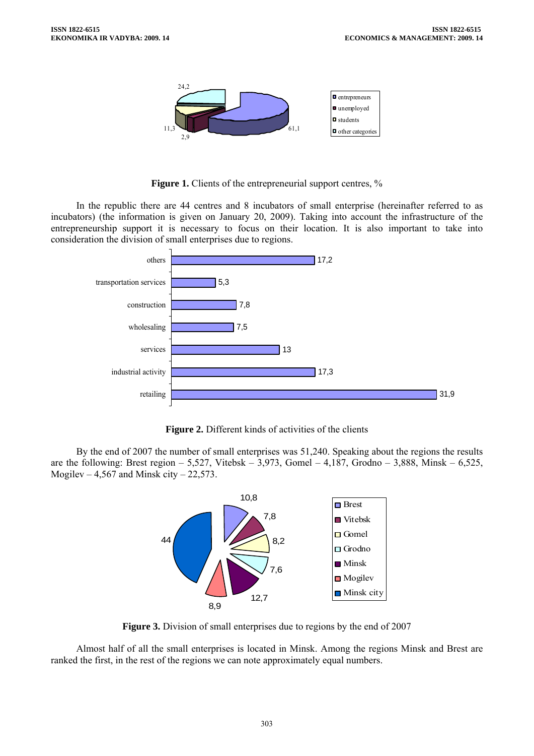

**Figure 1.** Clients of the entrepreneurial support centres, %

In the republic there are 44 centres and 8 incubators of small enterprise (hereinafter referred to as incubators) (the information is given on January 20, 2009). Taking into account the infrastructure of the entrepreneurship support it is necessary to focus on their location. It is also important to take into consideration the division of small enterprises due to regions.



**Figure 2.** Different kinds of activities of the clients

By the end of 2007 the number of small enterprises was 51,240. Speaking about the regions the results are the following: Brest region – 5,527, Vitebsk –  $3,973$ , Gomel – 4,187, Grodno – 3,888, Minsk – 6,525, Mogilev – 4,567 and Minsk city – 22,573.



**Figure 3.** Division of small enterprises due to regions by the end of 2007

Almost half of all the small enterprises is located in Minsk. Among the regions Minsk and Brest are ranked the first, in the rest of the regions we can note approximately equal numbers.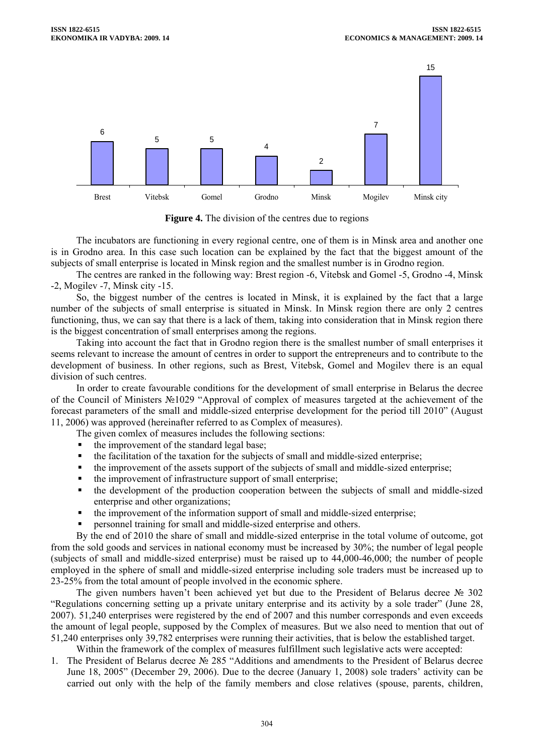

**Figure 4.** The division of the centres due to regions

The incubators are functioning in every regional centre, one of them is in Minsk area and another one is in Grodno area. In this case such location can be explained by the fact that the biggest amount of the subjects of small enterprise is located in Minsk region and the smallest number is in Grodno region.

The centres are ranked in the following way: Brest region -6, Vitebsk and Gomel -5, Grodno -4, Minsk -2, Mogilev -7, Minsk city -15.

So, the biggest number of the centres is located in Minsk, it is explained by the fact that a large number of the subjects of small enterprise is situated in Minsk. In Minsk region there are only 2 centres functioning, thus, we can say that there is a lack of them, taking into consideration that in Minsk region there is the biggest concentration of small enterprises among the regions.

Taking into account the fact that in Grodno region there is the smallest number of small enterprises it seems relevant to increase the amount of centres in order to support the entrepreneurs and to contribute to the development of business. In other regions, such as Brest, Vitebsk, Gomel and Mogilev there is an equal division of such centres.

In order to create favourable conditions for the development of small enterprise in Belarus the decree of the Council of Ministers №1029 "Approval of complex of measures targeted at the achievement of the forecast parameters of the small and middle-sized enterprise development for the period till 2010" (August 11, 2006) was approved (hereinafter referred to as Complex of measures).

The given comlex of measures includes the following sections:

- the improvement of the standard legal base;
- the facilitation of the taxation for the subjects of small and middle-sized enterprise;
- the improvement of the assets support of the subjects of small and middle-sized enterprise;
- the improvement of infrastructure support of small enterprise;
- the development of the production cooperation between the subjects of small and middle-sized enterprise and other organizations;
- the improvement of the information support of small and middle-sized enterprise;
- personnel training for small and middle-sized enterprise and others.

By the end of 2010 the share of small and middle-sized enterprise in the total volume of outcome, got from the sold goods and services in national economy must be increased by 30%; the number of legal people (subjects of small and middle-sized enterprise) must be raised up to 44,000-46,000; the number of people employed in the sphere of small and middle-sized enterprise including sole traders must be increased up to 23-25% from the total amount of people involved in the economic sphere.

The given numbers haven't been achieved yet but due to the President of Belarus decree № 302 "Regulations concerning setting up a private unitary enterprise and its activity by a sole trader" (June 28, 2007). 51,240 enterprises were registered by the end of 2007 and this number corresponds and even exceeds the amount of legal people, supposed by the Complex of measures. But we also need to mention that out of 51,240 enterprises only 39,782 enterprises were running their activities, that is below the established target.

Within the framework of the complex of measures fulfillment such legislative acts were accepted:

1. The President of Belarus decree № 285 "Additions and amendments to the President of Belarus decree June 18, 2005" (December 29, 2006). Due to the decree (January 1, 2008) sole traders' activity can be carried out only with the help of the family members and close relatives (spouse, parents, children,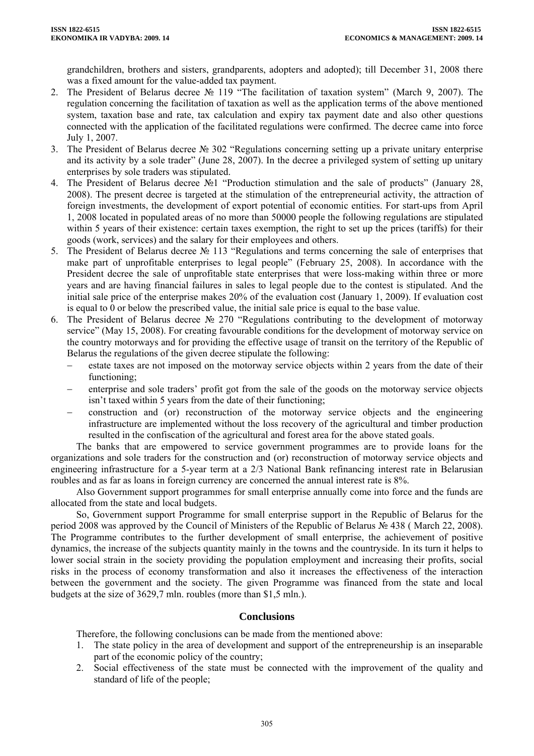grandchildren, brothers and sisters, grandparents, adopters and adopted); till December 31, 2008 there was a fixed amount for the value-added tax payment.

- 2. The President of Belarus decree № 119 "The facilitation of taxation system" (March 9, 2007). The regulation concerning the facilitation of taxation as well as the application terms of the above mentioned system, taxation base and rate, tax calculation and expiry tax payment date and also other questions connected with the application of the facilitated regulations were confirmed. The decree came into force July 1, 2007.
- 3. The President of Belarus decree № 302 "Regulations concerning setting up a private unitary enterprise and its activity by a sole trader" (June 28, 2007). In the decree a privileged system of setting up unitary enterprises by sole traders was stipulated.
- 4. The President of Belarus decree №1 "Production stimulation and the sale of products" (January 28, 2008). The present decree is targeted at the stimulation of the entrepreneurial activity, the attraction of foreign investments, the development of export potential of economic entities. For start-ups from April 1, 2008 located in populated areas of no more than 50000 people the following regulations are stipulated within 5 years of their existence: certain taxes exemption, the right to set up the prices (tariffs) for their goods (work, services) and the salary for their employees and others.
- 5. The President of Belarus decree № 113 "Regulations and terms concerning the sale of enterprises that make part of unprofitable enterprises to legal people" (February 25, 2008). In accordance with the President decree the sale of unprofitable state enterprises that were loss-making within three or more years and are having financial failures in sales to legal people due to the contest is stipulated. And the initial sale price of the enterprise makes 20% of the evaluation cost (January 1, 2009). If evaluation cost is equal to 0 or below the prescribed value, the initial sale price is equal to the base value.
- 6. The President of Belarus decree № 270 "Regulations contributing to the development of motorway service" (May 15, 2008). For creating favourable conditions for the development of motorway service on the country motorways and for providing the effective usage of transit on the territory of the Republic of Belarus the regulations of the given decree stipulate the following:
	- − estate taxes are not imposed on the motorway service objects within 2 years from the date of their functioning;
	- enterprise and sole traders' profit got from the sale of the goods on the motorway service objects isn't taxed within 5 years from the date of their functioning;
	- − construction and (or) reconstruction of the motorway service objects and the engineering infrastructure are implemented without the loss recovery of the agricultural and timber production resulted in the confiscation of the agricultural and forest area for the above stated goals.

The banks that are empowered to service government programmes are to provide loans for the organizations and sole traders for the construction and (or) reconstruction of motorway service objects and engineering infrastructure for a 5-year term at a 2/3 National Bank refinancing interest rate in Belarusian roubles and as far as loans in foreign currency are concerned the annual interest rate is 8%.

Also Government support programmes for small enterprise annually come into force and the funds are allocated from the state and local budgets.

So, Government support Programme for small enterprise support in the Republic of Belarus for the period 2008 was approved by the Council of Ministers of the Republic of Belarus № 438 ( March 22, 2008). The Programme contributes to the further development of small enterprise, the achievement of positive dynamics, the increase of the subjects quantity mainly in the towns and the countryside. In its turn it helps to lower social strain in the society providing the population employment and increasing their profits, social risks in the process of economy transformation and also it increases the effectiveness of the interaction between the government and the society. The given Programme was financed from the state and local budgets at the size of 3629,7 mln. roubles (more than \$1,5 mln.).

## **Conclusions**

Therefore, the following conclusions can be made from the mentioned above:

- 1. The state policy in the area of development and support of the entrepreneurship is an inseparable part of the economic policy of the country;
- 2. Social effectiveness of the state must be connected with the improvement of the quality and standard of life of the people;